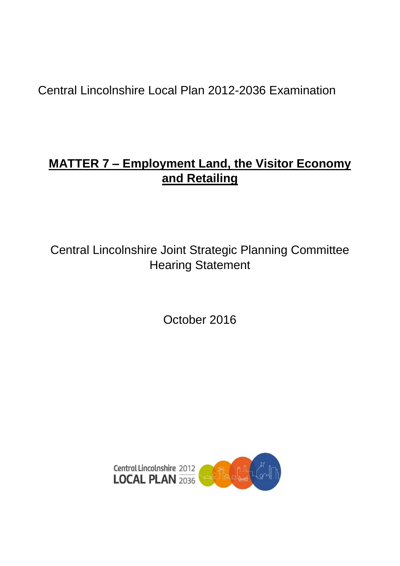Central Lincolnshire Local Plan 2012-2036 Examination

# **MATTER 7 – Employment Land, the Visitor Economy and Retailing**

Central Lincolnshire Joint Strategic Planning Committee Hearing Statement

October 2016

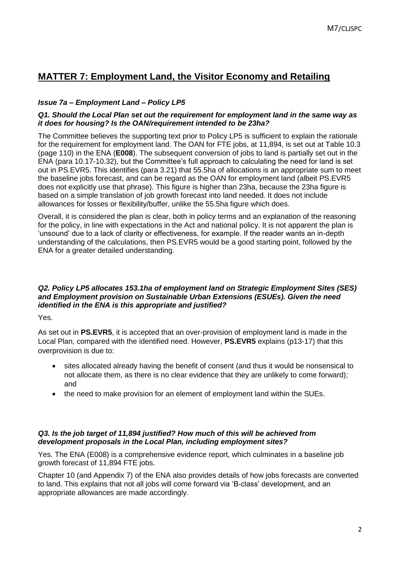## **MATTER 7: Employment Land, the Visitor Economy and Retailing**

## *Issue 7a – Employment Land – Policy LP5*

#### *Q1. Should the Local Plan set out the requirement for employment land in the same way as it does for housing? Is the OAN/requirement intended to be 23ha?*

The Committee believes the supporting text prior to Policy LP5 is sufficient to explain the rationale for the requirement for employment land. The OAN for FTE jobs, at 11,894, is set out at Table 10.3 (page 110) in the ENA (**E008**). The subsequent conversion of jobs to land is partially set out in the ENA (para 10.17-10.32), but the Committee's full approach to calculating the need for land is set out in PS.EVR5. This identifies (para 3.21) that 55.5ha of allocations is an appropriate sum to meet the baseline jobs forecast, and can be regard as the OAN for employment land (albeit PS.EVR5 does not explicitly use that phrase). This figure is higher than 23ha, because the 23ha figure is based on a simple translation of job growth forecast into land needed. It does not include allowances for losses or flexibility/buffer, unlike the 55.5ha figure which does.

Overall, it is considered the plan is clear, both in policy terms and an explanation of the reasoning for the policy, in line with expectations in the Act and national policy. It is not apparent the plan is 'unsound' due to a lack of clarity or effectiveness, for example. If the reader wants an in-depth understanding of the calculations, then PS.EVR5 would be a good starting point, followed by the ENA for a greater detailed understanding.

#### *Q2. Policy LP5 allocates 153.1ha of employment land on Strategic Employment Sites (SES) and Employment provision on Sustainable Urban Extensions (ESUEs). Given the need identified in the ENA is this appropriate and justified?*

Yes.

As set out in **PS.EVR5**, it is accepted that an over-provision of employment land is made in the Local Plan, compared with the identified need. However, **PS.EVR5** explains (p13-17) that this overprovision is due to:

- sites allocated already having the benefit of consent (and thus it would be nonsensical to not allocate them, as there is no clear evidence that they are unlikely to come forward); and
- the need to make provision for an element of employment land within the SUEs.

#### *Q3. Is the job target of 11,894 justified? How much of this will be achieved from development proposals in the Local Plan, including employment sites?*

Yes. The ENA (E008) is a comprehensive evidence report, which culminates in a baseline job growth forecast of 11,894 FTE jobs.

Chapter 10 (and Appendix 7) of the ENA also provides details of how jobs forecasts are converted to land. This explains that not all jobs will come forward via 'B-class' development, and an appropriate allowances are made accordingly.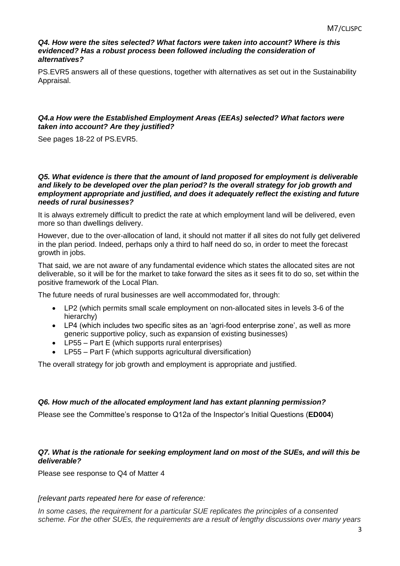#### *Q4. How were the sites selected? What factors were taken into account? Where is this*  evidenced? Has a robust process been followed including the consideration of *alternatives?*

PS.EVR5 answers all of these questions, together with alternatives as set out in the Sustainability Appraisal.

#### *Q4.a How were the Established Employment Areas (EEAs) selected? What factors were taken into account? Are they justified?*

See pages 18-22 of PS.EVR5.

#### *Q5. What evidence is there that the amount of land proposed for employment is deliverable and likely to be developed over the plan period? Is the overall strategy for job growth and employment appropriate and justified, and does it adequately reflect the existing and future needs of rural businesses?*

It is always extremely difficult to predict the rate at which employment land will be delivered, even more so than dwellings delivery.

However, due to the over-allocation of land, it should not matter if all sites do not fully get delivered in the plan period. Indeed, perhaps only a third to half need do so, in order to meet the forecast growth in jobs.

That said, we are not aware of any fundamental evidence which states the allocated sites are not deliverable, so it will be for the market to take forward the sites as it sees fit to do so, set within the positive framework of the Local Plan.

The future needs of rural businesses are well accommodated for, through:

- LP2 (which permits small scale employment on non-allocated sites in levels 3-6 of the hierarchy)
- LP4 (which includes two specific sites as an 'agri-food enterprise zone', as well as more generic supportive policy, such as expansion of existing businesses)
- LP55 Part E (which supports rural enterprises)
- LP55 Part F (which supports agricultural diversification)

The overall strategy for job growth and employment is appropriate and justified.

#### *Q6. How much of the allocated employment land has extant planning permission?*

Please see the Committee's response to Q12a of the Inspector's Initial Questions (**ED004**)

#### *Q7. What is the rationale for seeking employment land on most of the SUEs, and will this be deliverable?*

Please see response to Q4 of Matter 4

*[relevant parts repeated here for ease of reference:*

*In some cases, the requirement for a particular SUE replicates the principles of a consented scheme. For the other SUEs, the requirements are a result of lengthy discussions over many years*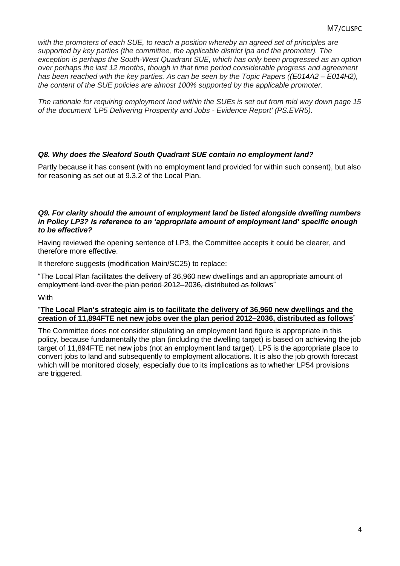*with the promoters of each SUE, to reach a position whereby an agreed set of principles are supported by key parties (the committee, the applicable district lpa and the promoter). The exception is perhaps the South-West Quadrant SUE, which has only been progressed as an option over perhaps the last 12 months, though in that time period considerable progress and agreement has been reached with the key parties. As can be seen by the Topic Papers ((E014A2 – E014H2), the content of the SUE policies are almost 100% supported by the applicable promoter.*

*The rationale for requiring employment land within the SUEs is set out from mid way down page 15 of the document 'LP5 Delivering Prosperity and Jobs - Evidence Report' (PS.EVR5).*

#### *Q8. Why does the Sleaford South Quadrant SUE contain no employment land?*

Partly because it has consent (with no employment land provided for within such consent), but also for reasoning as set out at 9.3.2 of the Local Plan.

#### *Q9. For clarity should the amount of employment land be listed alongside dwelling numbers in Policy LP3? Is reference to an 'appropriate amount of employment land' specific enough to be effective?*

Having reviewed the opening sentence of LP3, the Committee accepts it could be clearer, and therefore more effective.

It therefore suggests (modification Main/SC25) to replace:

"The Local Plan facilitates the delivery of 36,960 new dwellings and an appropriate amount of employment land over the plan period 2012–2036, distributed as follows"

**With** 

#### "**The Local Plan's strategic aim is to facilitate the delivery of 36,960 new dwellings and the creation of 11,894FTE net new jobs over the plan period 2012–2036, distributed as follows**"

The Committee does not consider stipulating an employment land figure is appropriate in this policy, because fundamentally the plan (including the dwelling target) is based on achieving the job target of 11,894FTE net new jobs (not an employment land target). LP5 is the appropriate place to convert jobs to land and subsequently to employment allocations. It is also the job growth forecast which will be monitored closely, especially due to its implications as to whether LP54 provisions are triggered.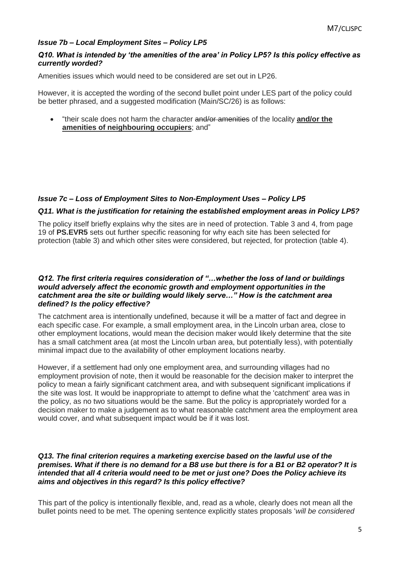## *Issue 7b – Local Employment Sites – Policy LP5*

#### *Q10. What is intended by 'the amenities of the area' in Policy LP5? Is this policy effective as currently worded?*

Amenities issues which would need to be considered are set out in LP26.

However, it is accepted the wording of the second bullet point under LES part of the policy could be better phrased, and a suggested modification (Main/SC/26) is as follows:

 "their scale does not harm the character and/or amenities of the locality **and/or the amenities of neighbouring occupiers**; and"

#### *Issue 7c – Loss of Employment Sites to Non-Employment Uses – Policy LP5*

#### *Q11. What is the justification for retaining the established employment areas in Policy LP5?*

The policy itself briefly explains why the sites are in need of protection. Table 3 and 4, from page 19 of **PS.EVR5** sets out further specific reasoning for why each site has been selected for protection (table 3) and which other sites were considered, but rejected, for protection (table 4).

#### *Q12. The first criteria requires consideration of "…whether the loss of land or buildings would adversely affect the economic growth and employment opportunities in the catchment area the site or building would likely serve…" How is the catchment area defined? Is the policy effective?*

The catchment area is intentionally undefined, because it will be a matter of fact and degree in each specific case. For example, a small employment area, in the Lincoln urban area, close to other employment locations, would mean the decision maker would likely determine that the site has a small catchment area (at most the Lincoln urban area, but potentially less), with potentially minimal impact due to the availability of other employment locations nearby.

However, if a settlement had only one employment area, and surrounding villages had no employment provision of note, then it would be reasonable for the decision maker to interpret the policy to mean a fairly significant catchment area, and with subsequent significant implications if the site was lost. It would be inappropriate to attempt to define what the 'catchment' area was in the policy, as no two situations would be the same. But the policy is appropriately worded for a decision maker to make a judgement as to what reasonable catchment area the employment area would cover, and what subsequent impact would be if it was lost.

#### *Q13. The final criterion requires a marketing exercise based on the lawful use of the premises. What if there is no demand for a B8 use but there is for a B1 or B2 operator? It is intended that all 4 criteria would need to be met or just one? Does the Policy achieve its aims and objectives in this regard? Is this policy effective?*

This part of the policy is intentionally flexible, and, read as a whole, clearly does not mean all the bullet points need to be met. The opening sentence explicitly states proposals '*will be considered*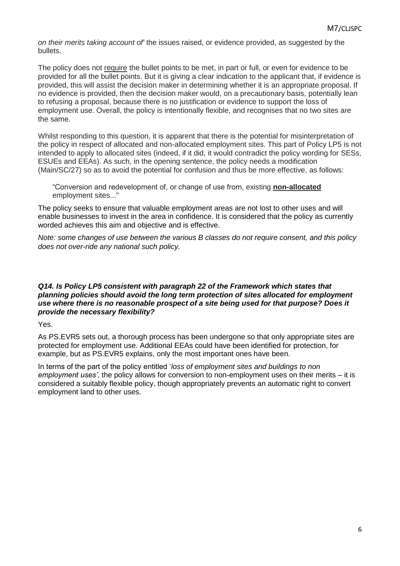*on their merits taking account of'* the issues raised, or evidence provided, as suggested by the bullets.

The policy does not require the bullet points to be met, in part or full, or even for evidence to be provided for all the bullet points. But it is giving a clear indication to the applicant that, if evidence is provided, this will assist the decision maker in determining whether it is an appropriate proposal. If no evidence is provided, then the decision maker would, on a precautionary basis, potentially lean to refusing a proposal, because there is no justification or evidence to support the loss of employment use. Overall, the policy is intentionally flexible, and recognises that no two sites are the same.

Whilst responding to this question, it is apparent that there is the potential for misinterpretation of the policy in respect of allocated and non-allocated employment sites. This part of Policy LP5 is not intended to apply to allocated sites (indeed, if it did, it would contradict the policy wording for SESs, ESUEs and EEAs). As such, in the opening sentence, the policy needs a modification (Main/SC/27) so as to avoid the potential for confusion and thus be more effective, as follows:

"Conversion and redevelopment of, or change of use from, existing **non-allocated** employment sites..."

The policy seeks to ensure that valuable employment areas are not lost to other uses and will enable businesses to invest in the area in confidence. It is considered that the policy as currently worded achieves this aim and objective and is effective.

*Note: some changes of use between the various B classes do not require consent, and this policy does not over-ride any national such policy.*

#### *Q14. Is Policy LP5 consistent with paragraph 22 of the Framework which states that planning policies should avoid the long term protection of sites allocated for employment use where there is no reasonable prospect of a site being used for that purpose? Does it provide the necessary flexibility?*

Yes.

As PS.EVR5 sets out, a thorough process has been undergone so that only appropriate sites are protected for employment use. Additional EEAs could have been identified for protection, for example, but as PS.EVR5 explains, only the most important ones have been.

In terms of the part of the policy entitled '*loss of employment sites and buildings to non employment uses'*, the policy allows for conversion to non-employment uses on their merits – it is considered a suitably flexible policy, though appropriately prevents an automatic right to convert employment land to other uses.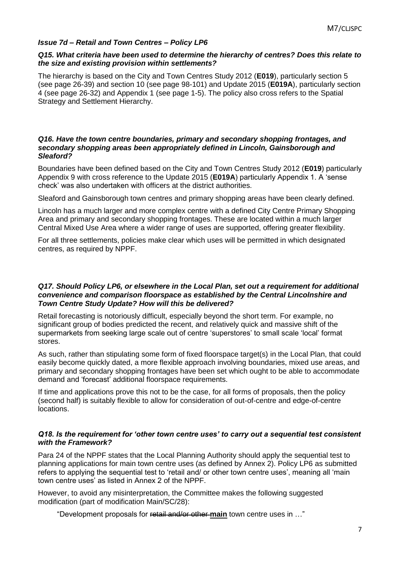#### *Issue 7d – Retail and Town Centres – Policy LP6*

#### *Q15. What criteria have been used to determine the hierarchy of centres? Does this relate to the size and existing provision within settlements?*

The hierarchy is based on the City and Town Centres Study 2012 (**E019**), particularly section 5 (see page 26-39) and section 10 (see page 98-101) and Update 2015 (**E019A**), particularly section 4 (see page 26-32) and Appendix 1 (see page 1-5). The policy also cross refers to the Spatial Strategy and Settlement Hierarchy.

#### *Q16. Have the town centre boundaries, primary and secondary shopping frontages, and secondary shopping areas been appropriately defined in Lincoln, Gainsborough and Sleaford?*

Boundaries have been defined based on the City and Town Centres Study 2012 (**E019**) particularly Appendix 9 with cross reference to the Update 2015 (**E019A**) particularly Appendix 1. A 'sense check' was also undertaken with officers at the district authorities.

Sleaford and Gainsborough town centres and primary shopping areas have been clearly defined.

Lincoln has a much larger and more complex centre with a defined City Centre Primary Shopping Area and primary and secondary shopping frontages. These are located within a much larger Central Mixed Use Area where a wider range of uses are supported, offering greater flexibility.

For all three settlements, policies make clear which uses will be permitted in which designated centres, as required by NPPF.

#### *Q17. Should Policy LP6, or elsewhere in the Local Plan, set out a requirement for additional convenience and comparison floorspace as established by the Central Lincolnshire and Town Centre Study Update? How will this be delivered?*

Retail forecasting is notoriously difficult, especially beyond the short term. For example, no significant group of bodies predicted the recent, and relatively quick and massive shift of the supermarkets from seeking large scale out of centre 'superstores' to small scale 'local' format stores.

As such, rather than stipulating some form of fixed floorspace target(s) in the Local Plan, that could easily become quickly dated, a more flexible approach involving boundaries, mixed use areas, and primary and secondary shopping frontages have been set which ought to be able to accommodate demand and 'forecast' additional floorspace requirements.

If time and applications prove this not to be the case, for all forms of proposals, then the policy (second half) is suitably flexible to allow for consideration of out-of-centre and edge-of-centre locations.

#### *Q18. Is the requirement for 'other town centre uses' to carry out a sequential test consistent with the Framework?*

Para 24 of the NPPF states that the Local Planning Authority should apply the sequential test to planning applications for main town centre uses (as defined by Annex 2). Policy LP6 as submitted refers to applying the sequential test to 'retail and/ or other town centre uses', meaning all 'main town centre uses' as listed in Annex 2 of the NPPF.

However, to avoid any misinterpretation, the Committee makes the following suggested modification (part of modification Main/SC/28):

"Development proposals for retail and/or other **main** town centre uses in …"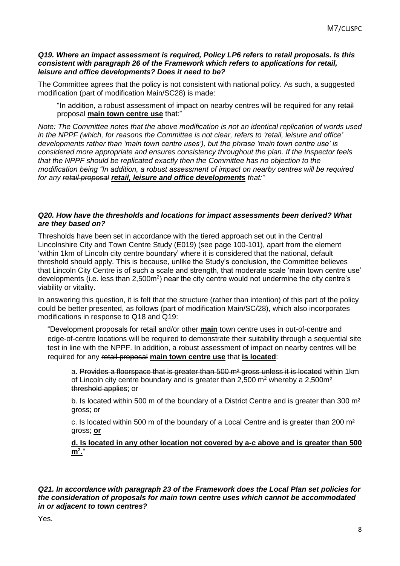#### *Q19. Where an impact assessment is required, Policy LP6 refers to retail proposals. Is this consistent with paragraph 26 of the Framework which refers to applications for retail, leisure and office developments? Does it need to be?*

The Committee agrees that the policy is not consistent with national policy. As such, a suggested modification (part of modification Main/SC28) is made:

"In addition, a robust assessment of impact on nearby centres will be required for any retail proposal **main town centre use** that:"

*Note: The Committee notes that the above modification is not an identical replication of words used in the NPPF (which, for reasons the Committee is not clear, refers to 'retail, leisure and office' developments rather than 'main town centre uses'), but the phrase 'main town centre use' is considered more appropriate and ensures consistency throughout the plan. If the Inspector feels that the NPPF should be replicated exactly then the Committee has no objection to the modification being "In addition, a robust assessment of impact on nearby centres will be required for any retail proposal retail, leisure and office developments that:"*

#### *Q20. How have the thresholds and locations for impact assessments been derived? What are they based on?*

Thresholds have been set in accordance with the tiered approach set out in the Central Lincolnshire City and Town Centre Study (E019) (see page 100-101), apart from the element 'within 1km of Lincoln city centre boundary' where it is considered that the national, default threshold should apply. This is because, unlike the Study's conclusion, the Committee believes that Lincoln City Centre is of such a scale and strength, that moderate scale 'main town centre use' developments (i.e. less than 2,500m<sup>2</sup>) near the city centre would not undermine the city centre's viability or vitality.

In answering this question, it is felt that the structure (rather than intention) of this part of the policy could be better presented, as follows (part of modification Main/SC/28), which also incorporates modifications in response to Q18 and Q19:

"Development proposals for retail and/or other **main** town centre uses in out-of-centre and edge-of-centre locations will be required to demonstrate their suitability through a sequential site test in line with the NPPF. In addition, a robust assessment of impact on nearby centres will be required for any retail proposal **main town centre use** that **is located**:

a. Provides a floorspace that is greater than 500 m<sup>2</sup> gross unless it is located within 1km of Lincoln city centre boundary and is greater than  $2,500$  m<sup>2</sup> whereby a  $2,500$  m<sup>2</sup> threshold applies; or

b. Is located within 500 m of the boundary of a District Centre and is greater than 300 m<sup>2</sup> gross; or

c. Is located within 500 m of the boundary of a Local Centre and is greater than 200 m² gross; **or** 

**d. Is located in any other location not covered by a-c above and is greater than 500 m<sup>2</sup> .**"

*Q21. In accordance with paragraph 23 of the Framework does the Local Plan set policies for the consideration of proposals for main town centre uses which cannot be accommodated in or adjacent to town centres?*

Yes.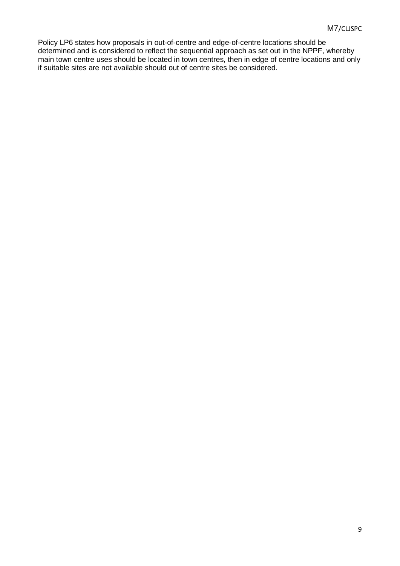Policy LP6 states how proposals in out-of-centre and edge-of-centre locations should be determined and is considered to reflect the sequential approach as set out in the NPPF, whereby main town centre uses should be located in town centres, then in edge of centre locations and only if suitable sites are not available should out of centre sites be considered.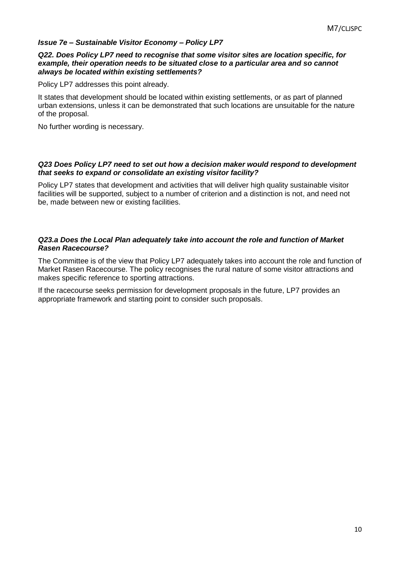#### *Issue 7e – Sustainable Visitor Economy – Policy LP7*

#### *Q22. Does Policy LP7 need to recognise that some visitor sites are location specific, for example, their operation needs to be situated close to a particular area and so cannot always be located within existing settlements?*

Policy LP7 addresses this point already.

It states that development should be located within existing settlements, or as part of planned urban extensions, unless it can be demonstrated that such locations are unsuitable for the nature of the proposal.

No further wording is necessary.

#### *Q23 Does Policy LP7 need to set out how a decision maker would respond to development that seeks to expand or consolidate an existing visitor facility?*

Policy LP7 states that development and activities that will deliver high quality sustainable visitor facilities will be supported, subject to a number of criterion and a distinction is not, and need not be, made between new or existing facilities.

#### *Q23.a Does the Local Plan adequately take into account the role and function of Market Rasen Racecourse?*

The Committee is of the view that Policy LP7 adequately takes into account the role and function of Market Rasen Racecourse. The policy recognises the rural nature of some visitor attractions and makes specific reference to sporting attractions.

If the racecourse seeks permission for development proposals in the future, LP7 provides an appropriate framework and starting point to consider such proposals.